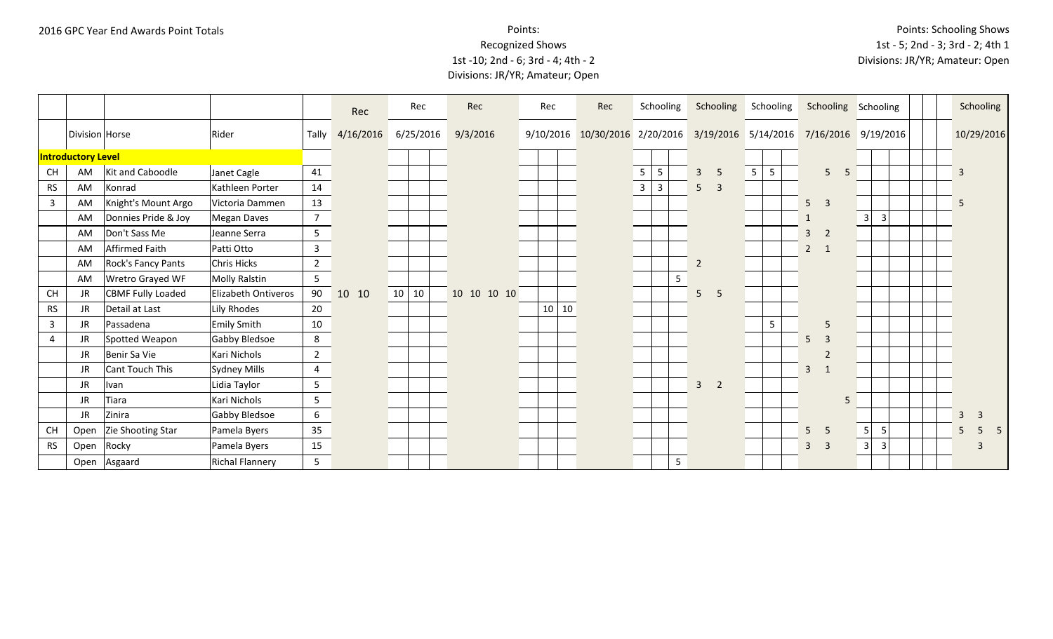Points: Schooling Shows 1st - 5; 2nd - 3; 3rd - 2; 4th 1 Divisions: JR/YR; Amateur: Open

|                |                           |                           |                        |                 | Rec       | Rec       | Rec         | Rec   | Rec                            |              | Schooling    |   |                | Schooling                               | Schooling       |                | Schooling Schooling |                                |  | Schooling                      |   |
|----------------|---------------------------|---------------------------|------------------------|-----------------|-----------|-----------|-------------|-------|--------------------------------|--------------|--------------|---|----------------|-----------------------------------------|-----------------|----------------|---------------------|--------------------------------|--|--------------------------------|---|
|                | Division Horse            |                           | Rider                  | Tally           | 4/16/2016 | 6/25/2016 | 9/3/2016    |       | 9/10/2016 10/30/2016 2/20/2016 |              |              |   |                | 3/19/2016 5/14/2016 7/16/2016 9/19/2016 |                 |                |                     |                                |  | 10/29/2016                     |   |
|                | <b>Introductory Level</b> |                           |                        |                 |           |           |             |       |                                |              |              |   |                |                                         |                 |                |                     |                                |  |                                |   |
| <b>CH</b>      | AM                        | Kit and Caboodle          | Janet Cagle            | 41              |           |           |             |       |                                | 5            | 5            |   | $\overline{3}$ | 5                                       | 5<br>5          |                | $5\phantom{.}$<br>5 |                                |  | $\overline{3}$                 |   |
| <b>RS</b>      | AM                        | Konrad                    | Kathleen Porter        | 14              |           |           |             |       |                                | $\mathbf{3}$ | $\mathbf{3}$ |   | 5              | $\mathbf{3}$                            |                 |                |                     |                                |  |                                |   |
| $\overline{3}$ | AM                        | Knight's Mount Argo       | Victoria Dammen        | 13              |           |           |             |       |                                |              |              |   |                |                                         |                 | $5\phantom{.}$ | $\overline{3}$      |                                |  | 5                              |   |
|                | AM                        | Donnies Pride & Joy       | Megan Daves            | $7\overline{ }$ |           |           |             |       |                                |              |              |   |                |                                         |                 |                |                     | $\overline{3}$<br>$\mathbf{3}$ |  |                                |   |
|                | AM                        | Don't Sass Me             | Jeanne Serra           | 5 <sub>1</sub>  |           |           |             |       |                                |              |              |   |                |                                         |                 | $\overline{3}$ | $\overline{2}$      |                                |  |                                |   |
|                | AM                        | Affirmed Faith            | Patti Otto             | $\mathbf{3}$    |           |           |             |       |                                |              |              |   |                |                                         |                 | $\overline{2}$ | $\overline{1}$      |                                |  |                                |   |
|                | AM                        | <b>Rock's Fancy Pants</b> | Chris Hicks            | $\overline{2}$  |           |           |             |       |                                |              |              |   | $\overline{2}$ |                                         |                 |                |                     |                                |  |                                |   |
|                | AM                        | Wretro Grayed WF          | Molly Ralstin          | 5 <sub>5</sub>  |           |           |             |       |                                |              |              | 5 |                |                                         |                 |                |                     |                                |  |                                |   |
| <b>CH</b>      | JR                        | <b>CBMF Fully Loaded</b>  | Elizabeth Ontiveros    | 90              | 10 10     | 10 10     | 10 10 10 10 |       |                                |              |              |   | 5              | 5                                       |                 |                |                     |                                |  |                                |   |
| <b>RS</b>      | JR                        | Detail at Last            | Lily Rhodes            | 20              |           |           |             | 10 10 |                                |              |              |   |                |                                         |                 |                |                     |                                |  |                                |   |
| $\mathbf{3}$   | JR                        | Passadena                 | <b>Emily Smith</b>     | 10              |           |           |             |       |                                |              |              |   |                |                                         | $5\phantom{.0}$ |                | 5                   |                                |  |                                |   |
| 4              | JR                        | Spotted Weapon            | Gabby Bledsoe          | 8               |           |           |             |       |                                |              |              |   |                |                                         |                 | 5              | $\overline{3}$      |                                |  |                                |   |
|                | JR                        | Benir Sa Vie              | Kari Nichols           | $2^{\circ}$     |           |           |             |       |                                |              |              |   |                |                                         |                 |                | $\overline{2}$      |                                |  |                                |   |
|                | JR                        | Cant Touch This           | Sydney Mills           | $\overline{4}$  |           |           |             |       |                                |              |              |   |                |                                         |                 | $\overline{3}$ | $\mathbf{1}$        |                                |  |                                |   |
|                | JR                        | Ivan                      | Lidia Taylor           | 5 <sub>1</sub>  |           |           |             |       |                                |              |              |   | $\overline{3}$ | $\overline{2}$                          |                 |                |                     |                                |  |                                |   |
|                | JR                        | Tiara                     | Kari Nichols           | 5 <sub>1</sub>  |           |           |             |       |                                |              |              |   |                |                                         |                 |                | 5                   |                                |  |                                |   |
|                | JR                        | Zinira                    | Gabby Bledsoe          | $6\overline{6}$ |           |           |             |       |                                |              |              |   |                |                                         |                 |                |                     |                                |  | $\mathbf{3}$<br>$\overline{3}$ |   |
| <b>CH</b>      | Open                      | Zie Shooting Star         | Pamela Byers           | 35              |           |           |             |       |                                |              |              |   |                |                                         |                 | 5 <sup>5</sup> | 5                   | 5<br>$5\phantom{.0}$           |  | 5<br>5                         | 5 |
| <b>RS</b>      | Open                      | Rocky                     | Pamela Byers           | 15              |           |           |             |       |                                |              |              |   |                |                                         |                 | $\overline{3}$ | $\overline{3}$      | $\overline{3}$<br>$\mathbf{3}$ |  | $\overline{3}$                 |   |
|                | Open                      | Asgaard                   | <b>Richal Flannery</b> | 5               |           |           |             |       |                                |              |              | 5 |                |                                         |                 |                |                     |                                |  |                                |   |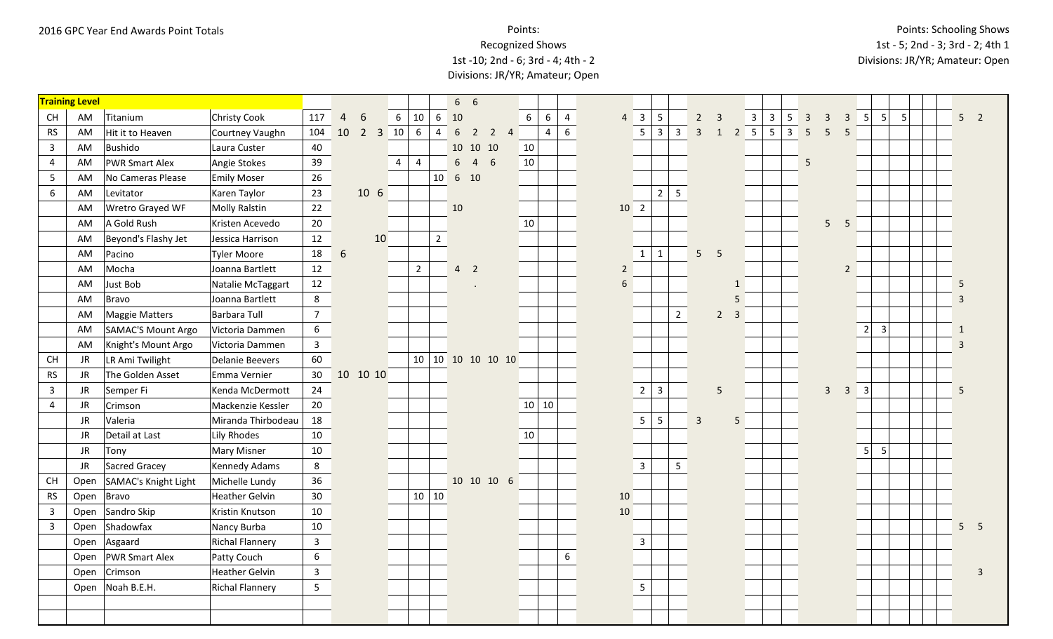|                | <b>Training Level</b> |                       |                    |                         |                 |                |                       |                 |                 |                 | $6\quad 6$     |                |                |                 |                |                |                |                 |                                |                |                          |                |                  |                 |                                            |                         |                |                |                |   |              |                     |  |
|----------------|-----------------------|-----------------------|--------------------|-------------------------|-----------------|----------------|-----------------------|-----------------|-----------------|-----------------|----------------|----------------|----------------|-----------------|----------------|----------------|----------------|-----------------|--------------------------------|----------------|--------------------------|----------------|------------------|-----------------|--------------------------------------------|-------------------------|----------------|----------------|----------------|---|--------------|---------------------|--|
| CH             | AM                    | Titanium              | Christy Cook       | 117                     | $\overline{4}$  | 6              | $6\overline{6}$       | 10              | $6\phantom{.}6$ | 10              |                |                |                | $6\overline{6}$ | 6              | $\overline{4}$ | $\overline{4}$ | $\overline{3}$  | 5                              |                | $2 \quad 3$              |                | $\mathbf{3}$     | $\overline{3}$  | $5\overline{)}$<br>$\overline{\mathbf{3}}$ | $\overline{3}$          | $\overline{3}$ | 5              | 5              | 5 |              | 5 <sub>2</sub>      |  |
| ${\sf RS}$     | AM                    | Hit it to Heaven      | Courtney Vaughn    | 104                     | 10              | $\overline{2}$ | 10 <br>$\overline{3}$ | $6\phantom{1}6$ | $\overline{4}$  | $6\overline{6}$ | $\overline{2}$ | $\overline{2}$ | $\overline{4}$ |                 | $\overline{4}$ | 6              |                | $5\overline{)}$ | $\mathbf{3}$<br>$\overline{3}$ | $\overline{3}$ | $\mathbf{1}$             |                | $2 \overline{5}$ | $5\phantom{.0}$ | $\overline{\mathbf{3}}$<br>5               | 5                       | 5              |                |                |   |              |                     |  |
| $\overline{3}$ | AM                    | Bushido               | Laura Custer       | 40                      |                 |                |                       |                 |                 |                 |                | 10 10 10       |                | 10              |                |                |                |                 |                                |                |                          |                |                  |                 |                                            |                         |                |                |                |   |              |                     |  |
| 4              | AM                    | <b>PWR Smart Alex</b> | Angie Stokes       | 39                      |                 |                | $\overline{4}$        | 4               |                 | $6\overline{6}$ | $\overline{4}$ | 6              |                | 10              |                |                |                |                 |                                |                |                          |                |                  |                 | 5                                          |                         |                |                |                |   |              |                     |  |
| 5              | AM                    | No Cameras Please     | <b>Emily Moser</b> | 26                      |                 |                |                       |                 | 10              |                 | 6 10           |                |                |                 |                |                |                |                 |                                |                |                          |                |                  |                 |                                            |                         |                |                |                |   |              |                     |  |
| 6              | AM                    | Levitator             | Karen Taylor       | 23                      |                 | 10 6           |                       |                 |                 |                 |                |                |                |                 |                |                |                |                 | 2<br>5                         |                |                          |                |                  |                 |                                            |                         |                |                |                |   |              |                     |  |
|                | AM                    | Wretro Grayed WF      | Molly Ralstin      | 22                      |                 |                |                       |                 |                 | 10              |                |                |                |                 |                |                |                | 10 <sub>2</sub> |                                |                |                          |                |                  |                 |                                            |                         |                |                |                |   |              |                     |  |
|                | AM                    | A Gold Rush           | Kristen Acevedo    | 20                      |                 |                |                       |                 |                 |                 |                |                |                | 10              |                |                |                |                 |                                |                |                          |                |                  |                 |                                            | 5                       | 5              |                |                |   |              |                     |  |
|                | AM                    | Beyond's Flashy Jet   | Jessica Harrison   | 12                      |                 |                | 10                    |                 | $2^{\circ}$     |                 |                |                |                |                 |                |                |                |                 |                                |                |                          |                |                  |                 |                                            |                         |                |                |                |   |              |                     |  |
|                | AM                    | Pacino                | Tyler Moore        | 18                      | $6\phantom{1}6$ |                |                       |                 |                 |                 |                |                |                |                 |                |                |                | $\mathbf{1}$    | $\mathbf{1}$                   | 5 <sup>5</sup> | $\overline{\phantom{0}}$ |                |                  |                 |                                            |                         |                |                |                |   |              |                     |  |
|                | AM                    | Mocha                 | Joanna Bartlett    | 12                      |                 |                |                       | $\overline{2}$  |                 |                 | 4 <sub>2</sub> |                |                |                 |                |                | $\overline{2}$ |                 |                                |                |                          |                |                  |                 |                                            |                         | $\overline{2}$ |                |                |   |              |                     |  |
|                | AM                    | Just Bob              | Natalie McTaggart  | 12                      |                 |                |                       |                 |                 |                 |                |                |                |                 |                |                | $6\phantom{a}$ |                 |                                |                |                          | $\mathbf{1}$   |                  |                 |                                            |                         |                |                |                |   | 5            |                     |  |
|                | AM                    | Bravo                 | Joanna Bartlett    | 8                       |                 |                |                       |                 |                 |                 |                |                |                |                 |                |                |                |                 |                                |                |                          | 5              |                  |                 |                                            |                         |                |                |                |   |              |                     |  |
|                | AM                    | Maggie Matters        | Barbara Tull       | 7 <sup>7</sup>          |                 |                |                       |                 |                 |                 |                |                |                |                 |                |                |                |                 | $\overline{2}$                 |                | $2^{\circ}$              | $\overline{3}$ |                  |                 |                                            |                         |                |                |                |   |              |                     |  |
|                | AM                    | SAMAC'S Mount Argo    | Victoria Dammen    | 6                       |                 |                |                       |                 |                 |                 |                |                |                |                 |                |                |                |                 |                                |                |                          |                |                  |                 |                                            |                         |                | 2 <sup>1</sup> | $\overline{3}$ |   | $\mathbf{1}$ |                     |  |
|                | AM                    | Knight's Mount Argo   | Victoria Dammen    | $\overline{\mathbf{3}}$ |                 |                |                       |                 |                 |                 |                |                |                |                 |                |                |                |                 |                                |                |                          |                |                  |                 |                                            |                         |                |                |                |   | 3            |                     |  |
| <b>CH</b>      | <b>JR</b>             | LR Ami Twilight       | Delanie Beevers    | 60                      |                 |                |                       | 10              |                 |                 |                |                | 10 10 10 10 10 |                 |                |                |                |                 |                                |                |                          |                |                  |                 |                                            |                         |                |                |                |   |              |                     |  |
| <b>RS</b>      | <b>JR</b>             | The Golden Asset      | Emma Vernier       | 30                      |                 | 10 10 10       |                       |                 |                 |                 |                |                |                |                 |                |                |                |                 |                                |                |                          |                |                  |                 |                                            |                         |                |                |                |   |              |                     |  |
| $\mathbf{3}$   | <b>JR</b>             | Semper Fi             | Kenda McDermott    | 24                      |                 |                |                       |                 |                 |                 |                |                |                |                 |                |                |                | $\overline{2}$  | $\overline{3}$                 |                | 5                        |                |                  |                 |                                            | $\overline{\mathbf{3}}$ |                | $3 \quad 3$    |                |   | 5            |                     |  |
| $\overline{4}$ | <b>JR</b>             | Crimson               | Mackenzie Kessler  | $20\degree$             |                 |                |                       |                 |                 |                 |                |                |                |                 | 10 10          |                |                |                 |                                |                |                          |                |                  |                 |                                            |                         |                |                |                |   |              |                     |  |
|                | JR                    | Valeria               | Miranda Thirbodeau | 18                      |                 |                |                       |                 |                 |                 |                |                |                |                 |                |                |                | 5 <sub>1</sub>  | 5                              | $\overline{3}$ |                          | 5              |                  |                 |                                            |                         |                |                |                |   |              |                     |  |
|                | JR                    | Detail at Last        | Lily Rhodes        | 10                      |                 |                |                       |                 |                 |                 |                |                |                | 10              |                |                |                |                 |                                |                |                          |                |                  |                 |                                            |                         |                |                |                |   |              |                     |  |
|                | <b>JR</b>             | Tony                  | Mary Misner        | 10                      |                 |                |                       |                 |                 |                 |                |                |                |                 |                |                |                |                 |                                |                |                          |                |                  |                 |                                            |                         |                | 5 <sup>1</sup> | 5              |   |              |                     |  |
|                | JR                    | Sacred Gracey         | Kennedy Adams      | 8                       |                 |                |                       |                 |                 |                 |                |                |                |                 |                |                |                | $\overline{3}$  | 5                              |                |                          |                |                  |                 |                                            |                         |                |                |                |   |              |                     |  |
| <b>CH</b>      | Open                  | SAMAC's Knight Light  | Michelle Lundy     | 36                      |                 |                |                       |                 |                 |                 |                | 10 10 10 6     |                |                 |                |                |                |                 |                                |                |                          |                |                  |                 |                                            |                         |                |                |                |   |              |                     |  |
| <b>RS</b>      | Open                  | Bravo                 | Heather Gelvin     | 30                      |                 |                |                       |                 | 10 10           |                 |                |                |                |                 |                |                | 10             |                 |                                |                |                          |                |                  |                 |                                            |                         |                |                |                |   |              |                     |  |
| $\mathbf{3}$   | Open                  | Sandro Skip           | Kristin Knutson    | 10                      |                 |                |                       |                 |                 |                 |                |                |                |                 |                |                | 10             |                 |                                |                |                          |                |                  |                 |                                            |                         |                |                |                |   |              |                     |  |
| $\overline{3}$ | Open                  | Shadowfax             | Nancy Burba        | 10                      |                 |                |                       |                 |                 |                 |                |                |                |                 |                |                |                |                 |                                |                |                          |                |                  |                 |                                            |                         |                |                |                |   |              | 5 <sup>5</sup><br>5 |  |
|                | Open                  | Asgaard               | Richal Flannery    | $\mathbf{3}$            |                 |                |                       |                 |                 |                 |                |                |                |                 |                |                |                | 3               |                                |                |                          |                |                  |                 |                                            |                         |                |                |                |   |              |                     |  |
|                | Open                  | <b>PWR Smart Alex</b> | Patty Couch        | $6\overline{6}$         |                 |                |                       |                 |                 |                 |                |                |                |                 |                | 6              |                |                 |                                |                |                          |                |                  |                 |                                            |                         |                |                |                |   |              |                     |  |
|                | Open                  | Crimson               | Heather Gelvin     | $\mathbf{3}$            |                 |                |                       |                 |                 |                 |                |                |                |                 |                |                |                |                 |                                |                |                          |                |                  |                 |                                            |                         |                |                |                |   |              | $\overline{3}$      |  |
|                | Open                  | Noah B.E.H.           | Richal Flannery    | 5 <sup>1</sup>          |                 |                |                       |                 |                 |                 |                |                |                |                 |                |                |                | $5\overline{)}$ |                                |                |                          |                |                  |                 |                                            |                         |                |                |                |   |              |                     |  |
|                |                       |                       |                    |                         |                 |                |                       |                 |                 |                 |                |                |                |                 |                |                |                |                 |                                |                |                          |                |                  |                 |                                            |                         |                |                |                |   |              |                     |  |
|                |                       |                       |                    |                         |                 |                |                       |                 |                 |                 |                |                |                |                 |                |                |                |                 |                                |                |                          |                |                  |                 |                                            |                         |                |                |                |   |              |                     |  |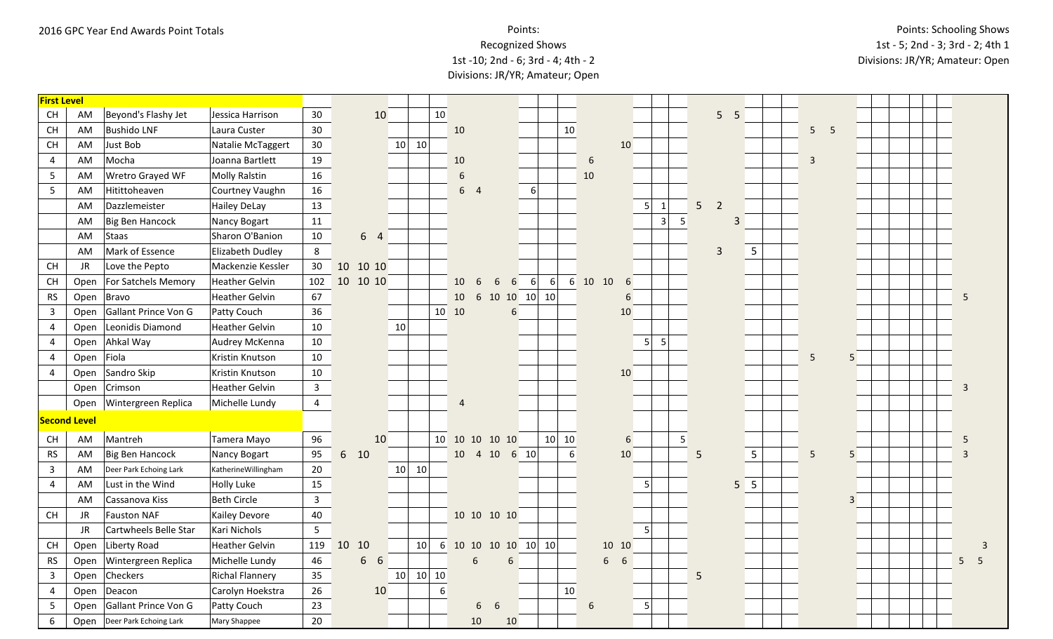# Recognized Shows

### 1st -10; 2nd - 6; 3rd - 4; 4th - 2 Divisions: JR/YR; Amateur; Open

| <b>First Level</b>                                                                                      |                     |                        |                       |                |       |                     |                 |                      |                |                |             |                   |                            |    |      |         |                |           |                |                |                |   |                 |                |  |  |                |
|---------------------------------------------------------------------------------------------------------|---------------------|------------------------|-----------------------|----------------|-------|---------------------|-----------------|----------------------|----------------|----------------|-------------|-------------------|----------------------------|----|------|---------|----------------|-----------|----------------|----------------|----------------|---|-----------------|----------------|--|--|----------------|
| <b>CH</b>                                                                                               | AM                  | Beyond's Flashy Jet    | Jessica Harrison      | 30             |       | 10                  |                 | 10                   |                |                |             |                   |                            |    |      |         |                |           |                |                | 5 <sub>5</sub> |   |                 |                |  |  |                |
| $\mathsf{CH}% \left( \mathcal{M}\right)$                                                                | AM                  | <b>Bushido LNF</b>     | Laura Custer          | 30             |       |                     |                 |                      | 10             |                |             |                   |                            | 10 |      |         |                |           |                |                |                |   | 5 <sub>5</sub>  |                |  |  |                |
| $\mathsf{CH}% \left( \mathcal{M}\right)$                                                                | AM                  | Just Bob               | Natalie McTaggert     | 30             |       |                     | 10              | 10                   |                |                |             |                   |                            |    |      | 10      |                |           |                |                |                |   |                 |                |  |  |                |
| $\overline{4}$                                                                                          | AM                  | Mocha                  | Joanna Bartlett       | 19             |       |                     |                 |                      | 10             |                |             |                   |                            |    | 6    |         |                |           |                |                |                |   | $\overline{3}$  |                |  |  |                |
| 5                                                                                                       | AM                  | Wretro Grayed WF       | Molly Ralstin         | 16             |       |                     |                 |                      | $\sqrt{6}$     |                |             |                   |                            |    | 10   |         |                |           |                |                |                |   |                 |                |  |  |                |
| 5                                                                                                       | AM                  | Hitittoheaven          | Courtney Vaughn       | 16             |       |                     |                 |                      |                | 6 <sub>4</sub> |             |                   | $6 \mid$                   |    |      |         |                |           |                |                |                |   |                 |                |  |  |                |
|                                                                                                         | AM                  | Dazzlemeister          | Hailey DeLay          | 13             |       |                     |                 |                      |                |                |             |                   |                            |    |      |         | 5 <sup>1</sup> | 1         | 5 <sup>1</sup> | $\overline{2}$ |                |   |                 |                |  |  |                |
|                                                                                                         | AM                  | Big Ben Hancock        | Nancy Bogart          | 11             |       |                     |                 |                      |                |                |             |                   |                            |    |      |         |                | 3         | 5              |                | 3              |   |                 |                |  |  |                |
|                                                                                                         | AM                  | Staas                  | Sharon O'Banion       | 10             |       | 6 4                 |                 |                      |                |                |             |                   |                            |    |      |         |                |           |                |                |                |   |                 |                |  |  |                |
|                                                                                                         | AM                  | Mark of Essence        | Elizabeth Dudley      | 8              |       |                     |                 |                      |                |                |             |                   |                            |    |      |         |                |           |                | $\overline{3}$ |                | 5 |                 |                |  |  |                |
| CH                                                                                                      | JR                  | Love the Pepto         | Mackenzie Kessler     | 30             |       | 10 10 10            |                 |                      |                |                |             |                   |                            |    |      |         |                |           |                |                |                |   |                 |                |  |  |                |
| $\mathsf{CH}% _{\mathsf{C}}^{\mathsf{C}}(\mathsf{C})=\mathsf{CH}_{\mathsf{C}}^{\mathsf{C}}(\mathsf{C})$ | Open                | For Satchels Memory    | <b>Heather Gelvin</b> | 102            |       | 10 10 10            |                 |                      | 10             | 6              | 6           | 6                 | $6 \mid$<br>6 <sup>1</sup> |    | 6 10 | 10<br>6 |                |           |                |                |                |   |                 |                |  |  |                |
| <b>RS</b>                                                                                               | Open                | Bravo                  | Heather Gelvin        | 67             |       |                     |                 |                      | 10             |                |             | 6 10 10 10 10     |                            |    |      | 6       |                |           |                |                |                |   |                 |                |  |  | 5              |
| $\mathbf{3}$                                                                                            | Open                | Gallant Prince Von G   | Patty Couch           | 36             |       |                     |                 |                      | 10 10          |                |             | 6                 |                            |    |      | 10      |                |           |                |                |                |   |                 |                |  |  |                |
| $\overline{4}$                                                                                          | Open                | Leonidis Diamond       | Heather Gelvin        | 10             |       |                     | 10              |                      |                |                |             |                   |                            |    |      |         |                |           |                |                |                |   |                 |                |  |  |                |
| 4                                                                                                       | Open                | Ahkal Way              | Audrey McKenna        | 10             |       |                     |                 |                      |                |                |             |                   |                            |    |      |         | 5 <sup>1</sup> | $\vert$ 5 |                |                |                |   |                 |                |  |  |                |
| 4                                                                                                       | Open                | Fiola                  | Kristin Knutson       | 10             |       |                     |                 |                      |                |                |             |                   |                            |    |      |         |                |           |                |                |                |   | 5               | 5              |  |  |                |
| 4                                                                                                       | Open                | Sandro Skip            | Kristin Knutson       | 10             |       |                     |                 |                      |                |                |             |                   |                            |    |      | 10      |                |           |                |                |                |   |                 |                |  |  |                |
|                                                                                                         | Open                | Crimson                | <b>Heather Gelvin</b> | $\mathbf{3}$   |       |                     |                 |                      |                |                |             |                   |                            |    |      |         |                |           |                |                |                |   |                 |                |  |  | $\overline{3}$ |
|                                                                                                         | Open                | Wintergreen Replica    | Michelle Lundy        | $\overline{4}$ |       |                     |                 |                      | $\overline{4}$ |                |             |                   |                            |    |      |         |                |           |                |                |                |   |                 |                |  |  |                |
|                                                                                                         | <b>Second Level</b> |                        |                       |                |       |                     |                 |                      |                |                |             |                   |                            |    |      |         |                |           |                |                |                |   |                 |                |  |  |                |
| $\mathsf{CH}% \left( \mathcal{M}\right)$                                                                | AM                  | Mantreh                | Tamera Mayo           | 96             |       | 10                  |                 |                      | 10 10 10 10 10 |                |             |                   | 10                         | 10 |      | 6       |                |           | 5              |                |                |   |                 |                |  |  | -5             |
| <b>RS</b>                                                                                               | AM                  | Big Ben Hancock        | Nancy Bogart          | 95             | 6 10  |                     |                 |                      |                | 10  4  10      |             | 6 10              |                            | 6  |      | 10      |                |           | 5              |                |                | 5 | $5\overline{)}$ | 5              |  |  | 3              |
| $\mathbf{3}$                                                                                            | AM                  | Deer Park Echoing Lark | KatherineWillingham   | 20             |       |                     | 10              | 10                   |                |                |             |                   |                            |    |      |         |                |           |                |                |                |   |                 |                |  |  |                |
| $\overline{4}$                                                                                          | AM                  | Lust in the Wind       | <b>Holly Luke</b>     | 15             |       |                     |                 |                      |                |                |             |                   |                            |    |      |         | 5 <sup>5</sup> |           |                |                | 5 <sup>5</sup> |   |                 |                |  |  |                |
|                                                                                                         | AM                  | Cassanova Kiss         | Beth Circle           | $\overline{3}$ |       |                     |                 |                      |                |                |             |                   |                            |    |      |         |                |           |                |                |                |   |                 | $\overline{3}$ |  |  |                |
| $\mathsf{CH}% \left( \mathcal{M}\right)$                                                                | JR                  | <b>Fauston NAF</b>     | <b>Kailey Devore</b>  | 40             |       |                     |                 |                      |                |                | 10 10 10 10 |                   |                            |    |      |         |                |           |                |                |                |   |                 |                |  |  |                |
|                                                                                                         | <b>JR</b>           | Cartwheels Belle Star  | Kari Nichols          | $5\phantom{.}$ |       |                     |                 |                      |                |                |             |                   |                            |    |      |         | 5 <sup>1</sup> |           |                |                |                |   |                 |                |  |  |                |
| $\mathsf{CH}% _{\mathsf{C}}^{\mathsf{C}}(\mathsf{C})=\mathsf{CH}_{\mathsf{C}}^{\mathsf{C}}(\mathsf{C})$ | Open                | Liberty Road           | <b>Heather Gelvin</b> | 119            | 10 10 |                     |                 | 6<br>10 <sup>1</sup> |                |                |             | 10 10 10 10 10 10 |                            |    |      | 10 10   |                |           |                |                |                |   |                 |                |  |  | 3              |
| <b>RS</b>                                                                                               | Open                | Wintergreen Replica    | Michelle Lundy        | 46             |       | 6 <sup>1</sup><br>6 |                 |                      |                | 6              |             | 6                 |                            |    |      | 6<br>6  |                |           |                |                |                |   |                 |                |  |  | 5<br>5         |
| $\mathbf{3}$                                                                                            | Open                | Checkers               | Richal Flannery       | 35             |       |                     | 10 <sup>1</sup> | $10 \vert 10$        |                |                |             |                   |                            |    |      |         |                |           | 5              |                |                |   |                 |                |  |  |                |
| 4                                                                                                       | Open                | Deacon                 | Carolyn Hoekstra      | 26             |       | 10                  |                 | 6                    |                |                |             |                   |                            | 10 |      |         |                |           |                |                |                |   |                 |                |  |  |                |
| 5                                                                                                       | Open                | Gallant Prince Von G   | Patty Couch           | 23             |       |                     |                 |                      |                | 6              | 6           |                   |                            |    | 6    |         | 5 <sup>1</sup> |           |                |                |                |   |                 |                |  |  |                |
| 6                                                                                                       | Open                | Deer Park Echoing Lark | Mary Shappee          | 20             |       |                     |                 |                      |                | 10             |             | 10                |                            |    |      |         |                |           |                |                |                |   |                 |                |  |  |                |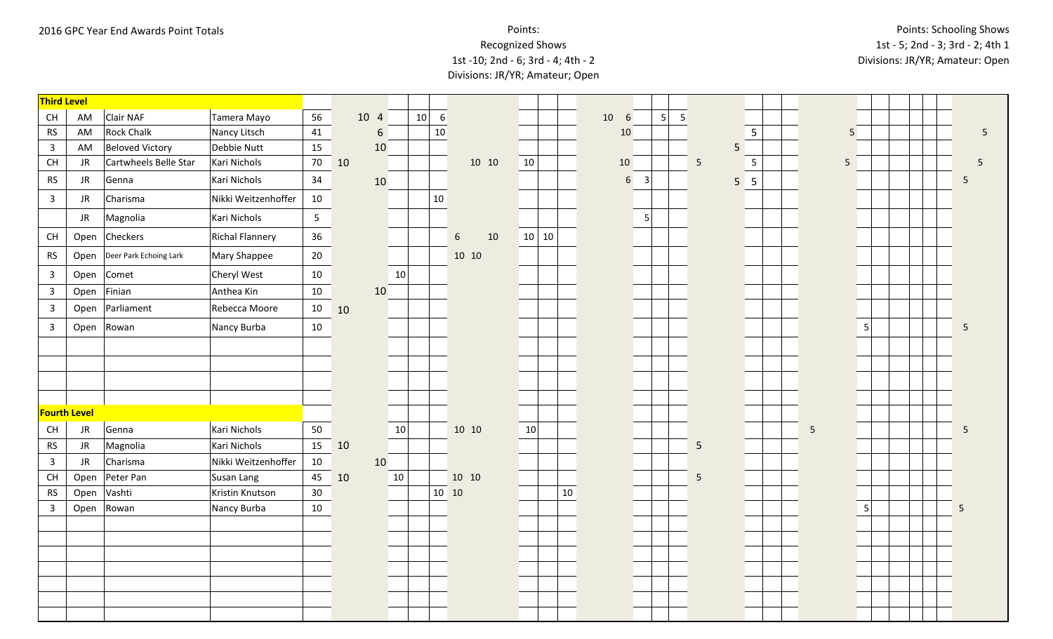# Recognized Shows

### 1st -10; 2nd - 6; 3rd - 4; 4th - 2 Divisions: JR/YR; Amateur; Open

| <b>Third Level</b>      |                     |                        |                     |                |    |      |    |         |                           |    |       |        |                       |                |   |   |                 |                 |                 |   |                 |  |  |            |
|-------------------------|---------------------|------------------------|---------------------|----------------|----|------|----|---------|---------------------------|----|-------|--------|-----------------------|----------------|---|---|-----------------|-----------------|-----------------|---|-----------------|--|--|------------|
| CH                      | AM                  | Clair NAF              | Tamera Mayo         | 56             |    | 10 4 |    | 10<br>6 |                           |    |       |        | 10<br>$6\phantom{1}6$ |                | 5 | 5 |                 |                 |                 |   |                 |  |  |            |
| ${\sf RS}$              | AM                  | <b>Rock Chalk</b>      | Nancy Litsch        | 41             |    | 6    |    | 10      |                           |    |       |        | 10                    |                |   |   |                 |                 | $5\phantom{.0}$ |   | 5               |  |  | $\sqrt{5}$ |
| $\overline{3}$          | AM                  | Beloved Victory        | Debbie Nutt         | 15             |    | 10   |    |         |                           |    |       |        |                       |                |   |   |                 | 5               |                 |   |                 |  |  |            |
| CH                      | JR                  | Cartwheels Belle Star  | Kari Nichols        | 70             | 10 |      |    |         | 10 10                     | 10 |       |        | 10                    |                |   |   | $5\phantom{.0}$ | $5\phantom{.0}$ |                 |   | $5\overline{)}$ |  |  | 5          |
| <b>RS</b>               | JR                  | Genna                  | Kari Nichols        | 34             |    | 10   |    |         |                           |    |       |        | $6\phantom{1}$        | $\overline{3}$ |   |   |                 | $5\overline{5}$ |                 |   |                 |  |  | 5          |
| $\overline{\mathbf{3}}$ | JR                  | Charisma               | Nikki Weitzenhoffer | 10             |    |      |    | $10\,$  |                           |    |       |        |                       |                |   |   |                 |                 |                 |   |                 |  |  |            |
|                         | JR                  | Magnolia               | Kari Nichols        | 5 <sub>1</sub> |    |      |    |         |                           |    |       |        |                       | 5              |   |   |                 |                 |                 |   |                 |  |  |            |
| CH                      | Open                | Checkers               | Richal Flannery     | 36             |    |      |    |         | $10\,$<br>$6\phantom{.}6$ |    | 10 10 |        |                       |                |   |   |                 |                 |                 |   |                 |  |  |            |
| <b>RS</b>               | Open                | Deer Park Echoing Lark | Mary Shappee        | 20             |    |      |    |         | 10 10                     |    |       |        |                       |                |   |   |                 |                 |                 |   |                 |  |  |            |
| $\overline{3}$          | Open                | Comet                  | Cheryl West         | 10             |    |      | 10 |         |                           |    |       |        |                       |                |   |   |                 |                 |                 |   |                 |  |  |            |
| $\overline{3}$          | Open                | Finian                 | Anthea Kin          | 10             |    | 10   |    |         |                           |    |       |        |                       |                |   |   |                 |                 |                 |   |                 |  |  |            |
| $\overline{3}$          | Open                | Parliament             | Rebecca Moore       | 10             | 10 |      |    |         |                           |    |       |        |                       |                |   |   |                 |                 |                 |   |                 |  |  |            |
| $\overline{\mathbf{3}}$ | Open                | Rowan                  | Nancy Burba         | 10             |    |      |    |         |                           |    |       |        |                       |                |   |   |                 |                 |                 |   | 5               |  |  | 5          |
|                         |                     |                        |                     |                |    |      |    |         |                           |    |       |        |                       |                |   |   |                 |                 |                 |   |                 |  |  |            |
|                         |                     |                        |                     |                |    |      |    |         |                           |    |       |        |                       |                |   |   |                 |                 |                 |   |                 |  |  |            |
|                         |                     |                        |                     |                |    |      |    |         |                           |    |       |        |                       |                |   |   |                 |                 |                 |   |                 |  |  |            |
|                         |                     |                        |                     |                |    |      |    |         |                           |    |       |        |                       |                |   |   |                 |                 |                 |   |                 |  |  |            |
|                         | <b>Fourth Level</b> |                        |                     |                |    |      |    |         |                           |    |       |        |                       |                |   |   |                 |                 |                 |   |                 |  |  |            |
| CH                      | JR                  | Genna                  | Kari Nichols        | 50             |    |      | 10 |         | 10 10                     | 10 |       |        |                       |                |   |   |                 |                 |                 | 5 |                 |  |  | 5          |
| <b>RS</b>               | JR                  | Magnolia               | Kari Nichols        | 15             | 10 |      |    |         |                           |    |       |        |                       |                |   |   | 5               |                 |                 |   |                 |  |  |            |
| $\overline{3}$          | <b>JR</b>           | Charisma               | Nikki Weitzenhoffer | 10             |    | 10   |    |         |                           |    |       |        |                       |                |   |   |                 |                 |                 |   |                 |  |  |            |
| CH                      | Open                | Peter Pan              | Susan Lang          | 45             | 10 |      | 10 |         | 10 10                     |    |       |        |                       |                |   |   | $\overline{5}$  |                 |                 |   |                 |  |  |            |
| <b>RS</b>               | Open                | Vashti                 | Kristin Knutson     | 30             |    |      |    |         | 10 10                     |    |       | $10\,$ |                       |                |   |   |                 |                 |                 |   |                 |  |  |            |
| $\overline{3}$          | Open                | Rowan                  | Nancy Burba         | 10             |    |      |    |         |                           |    |       |        |                       |                |   |   |                 |                 |                 |   | 5               |  |  | 5          |
|                         |                     |                        |                     |                |    |      |    |         |                           |    |       |        |                       |                |   |   |                 |                 |                 |   |                 |  |  |            |
|                         |                     |                        |                     |                |    |      |    |         |                           |    |       |        |                       |                |   |   |                 |                 |                 |   |                 |  |  |            |
|                         |                     |                        |                     |                |    |      |    |         |                           |    |       |        |                       |                |   |   |                 |                 |                 |   |                 |  |  |            |
|                         |                     |                        |                     |                |    |      |    |         |                           |    |       |        |                       |                |   |   |                 |                 |                 |   |                 |  |  |            |
|                         |                     |                        |                     |                |    |      |    |         |                           |    |       |        |                       |                |   |   |                 |                 |                 |   |                 |  |  |            |
|                         |                     |                        |                     |                |    |      |    |         |                           |    |       |        |                       |                |   |   |                 |                 |                 |   |                 |  |  |            |
|                         |                     |                        |                     |                |    |      |    |         |                           |    |       |        |                       |                |   |   |                 |                 |                 |   |                 |  |  |            |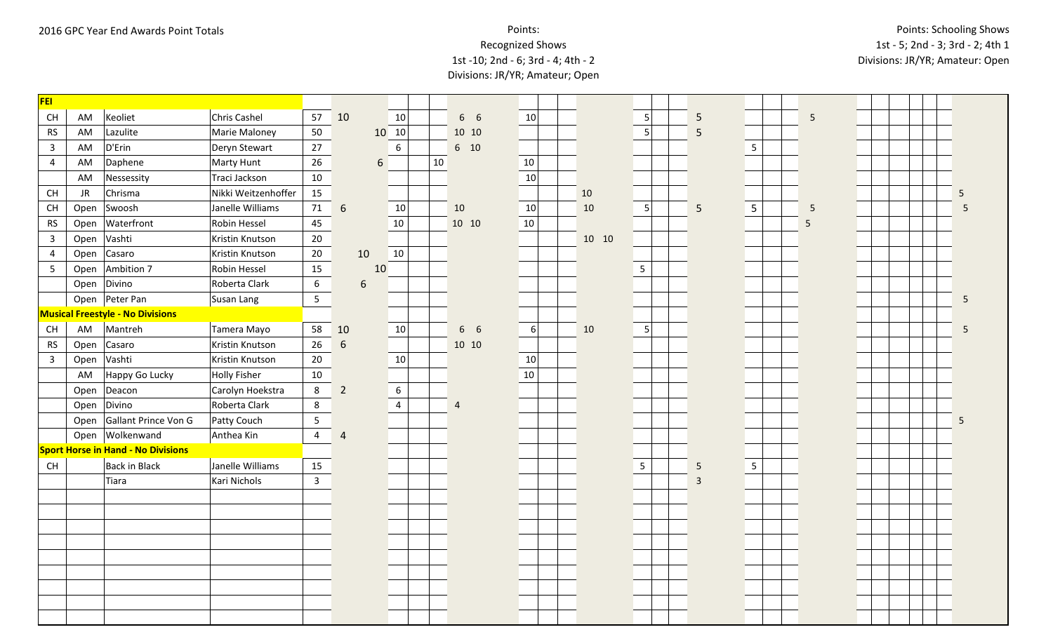| <b>FEI</b>     |           |                                           |                     |                 |                  |    |                 |    |                |    |       |                 |                |                 |   |  |   |
|----------------|-----------|-------------------------------------------|---------------------|-----------------|------------------|----|-----------------|----|----------------|----|-------|-----------------|----------------|-----------------|---|--|---|
| <b>CH</b>      | AM        | Keoliet                                   | Chris Cashel        | 57              | 10               |    | 10              |    | 6 6            | 10 |       | $\overline{5}$  | $\overline{5}$ |                 | 5 |  |   |
| <b>RS</b>      | AM        | Lazulite                                  | Marie Maloney       | 50              |                  |    | 10 10           |    | 10 10          |    |       | 5               | 5              |                 |   |  |   |
| $\mathbf{3}$   | AM        | D'Erin                                    | Deryn Stewart       | 27              |                  |    | $6\phantom{.}6$ |    | 6 10           |    |       |                 |                | $5\phantom{.0}$ |   |  |   |
| $\overline{4}$ | AM        | Daphene                                   | Marty Hunt          | 26              |                  | 6  |                 | 10 |                | 10 |       |                 |                |                 |   |  |   |
|                | AM        | Nessessity                                | Traci Jackson       | 10              |                  |    |                 |    |                | 10 |       |                 |                |                 |   |  |   |
| CH             | <b>JR</b> | Chrisma                                   | Nikki Weitzenhoffer | 15              |                  |    |                 |    |                |    | 10    |                 |                |                 |   |  | 5 |
| CH             | Open      | Swoosh                                    | Janelle Williams    | 71              | 6                |    | 10              |    | 10             | 10 | 10    | 5               | 5              | $5\phantom{.}$  | 5 |  |   |
| <b>RS</b>      | Open      | Waterfront                                | Robin Hessel        | 45              |                  |    | 10              |    | 10 10          | 10 |       |                 |                |                 | 5 |  |   |
| $\overline{3}$ | Open      | Vashti                                    | Kristin Knutson     | 20              |                  |    |                 |    |                |    | 10 10 |                 |                |                 |   |  |   |
| $\overline{4}$ | Open      | Casaro                                    | Kristin Knutson     | 20              | 10               |    | 10              |    |                |    |       |                 |                |                 |   |  |   |
| $5\phantom{.}$ | Open      | Ambition 7                                | Robin Hessel        | 15              |                  | 10 |                 |    |                |    |       | 5               |                |                 |   |  |   |
|                |           | Open Divino                               | Roberta Clark       | 6               | $\boldsymbol{6}$ |    |                 |    |                |    |       |                 |                |                 |   |  |   |
|                |           | Open Peter Pan                            | Susan Lang          | $5\phantom{.0}$ |                  |    |                 |    |                |    |       |                 |                |                 |   |  | 5 |
|                |           | <b>Musical Freestyle - No Divisions</b>   |                     |                 |                  |    |                 |    |                |    |       |                 |                |                 |   |  |   |
| CH             | AM        | Mantreh                                   | Tamera Mayo         | 58              | 10               |    | 10              |    | 6 6            | 6  | 10    | 5               |                |                 |   |  | 5 |
| <b>RS</b>      | Open      | Casaro                                    | Kristin Knutson     | 26              | 6                |    |                 |    | 10 10          |    |       |                 |                |                 |   |  |   |
| $\overline{3}$ | Open      | Vashti                                    | Kristin Knutson     | 20              |                  |    | 10              |    |                | 10 |       |                 |                |                 |   |  |   |
|                | AM        | Happy Go Lucky                            | Holly Fisher        | 10              |                  |    |                 |    |                | 10 |       |                 |                |                 |   |  |   |
|                | Open      | Deacon                                    | Carolyn Hoekstra    | 8               | $\overline{2}$   |    | $6\,$           |    |                |    |       |                 |                |                 |   |  |   |
|                | Open      | Divino                                    | Roberta Clark       | $8\phantom{1}$  |                  |    | $\overline{4}$  |    | $\overline{4}$ |    |       |                 |                |                 |   |  |   |
|                | Open      | Gallant Prince Von G                      | Patty Couch         | $5\phantom{.0}$ |                  |    |                 |    |                |    |       |                 |                |                 |   |  | 5 |
|                |           | Open Wolkenwand                           | Anthea Kin          | $\overline{4}$  | $\overline{4}$   |    |                 |    |                |    |       |                 |                |                 |   |  |   |
|                |           | <b>Sport Horse in Hand - No Divisions</b> |                     |                 |                  |    |                 |    |                |    |       |                 |                |                 |   |  |   |
| CH             |           | Back in Black                             | Janelle Williams    | 15              |                  |    |                 |    |                |    |       | $5\phantom{.0}$ | 5              | $5\phantom{.0}$ |   |  |   |
|                |           | Tiara                                     | Kari Nichols        | $\mathbf{3}$    |                  |    |                 |    |                |    |       |                 | $\overline{3}$ |                 |   |  |   |
|                |           |                                           |                     |                 |                  |    |                 |    |                |    |       |                 |                |                 |   |  |   |
|                |           |                                           |                     |                 |                  |    |                 |    |                |    |       |                 |                |                 |   |  |   |
|                |           |                                           |                     |                 |                  |    |                 |    |                |    |       |                 |                |                 |   |  |   |
|                |           |                                           |                     |                 |                  |    |                 |    |                |    |       |                 |                |                 |   |  |   |
|                |           |                                           |                     |                 |                  |    |                 |    |                |    |       |                 |                |                 |   |  |   |
|                |           |                                           |                     |                 |                  |    |                 |    |                |    |       |                 |                |                 |   |  |   |
|                |           |                                           |                     |                 |                  |    |                 |    |                |    |       |                 |                |                 |   |  |   |
|                |           |                                           |                     |                 |                  |    |                 |    |                |    |       |                 |                |                 |   |  |   |
|                |           |                                           |                     |                 |                  |    |                 |    |                |    |       |                 |                |                 |   |  |   |
|                |           |                                           |                     |                 |                  |    |                 |    |                |    |       |                 |                |                 |   |  |   |